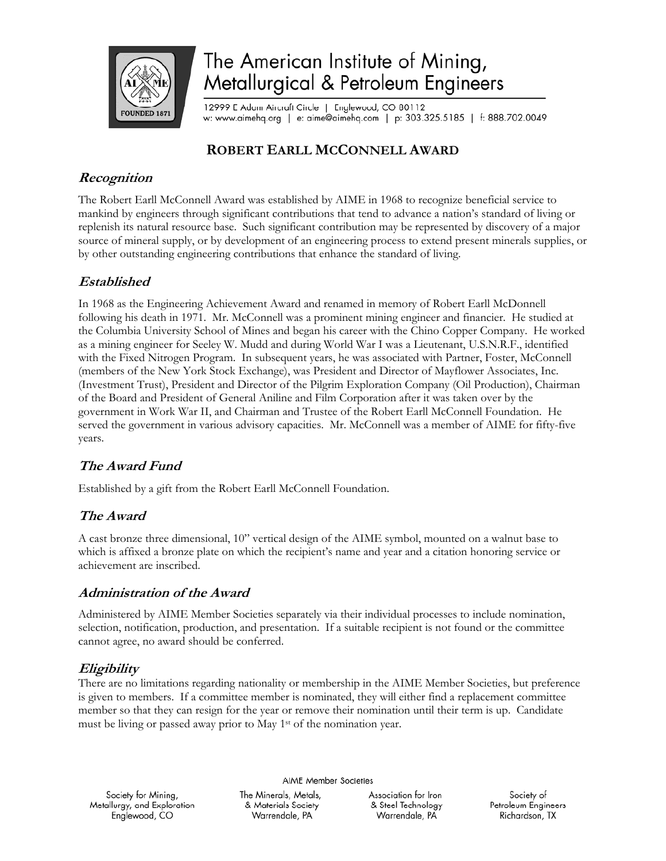

# The American Institute of Mining, Metallurgical & Petroleum Engineers

12999 E Adam Aircraft Circle | Englewood, CO 80112 w: www.aimehq.org | e: aime@aimehq.com | p: 303.325.5185 | f: 888.702.0049

## **ROBERT EARLL MCCONNELL AWARD**

## **Recognition**

The Robert Earll McConnell Award was established by AIME in 1968 to recognize beneficial service to mankind by engineers through significant contributions that tend to advance a nation's standard of living or replenish its natural resource base. Such significant contribution may be represented by discovery of a major source of mineral supply, or by development of an engineering process to extend present minerals supplies, or by other outstanding engineering contributions that enhance the standard of living.

## **Established**

In 1968 as the Engineering Achievement Award and renamed in memory of Robert Earll McDonnell following his death in 1971. Mr. McConnell was a prominent mining engineer and financier. He studied at the Columbia University School of Mines and began his career with the Chino Copper Company. He worked as a mining engineer for Seeley W. Mudd and during World War I was a Lieutenant, U.S.N.R.F., identified with the Fixed Nitrogen Program. In subsequent years, he was associated with Partner, Foster, McConnell (members of the New York Stock Exchange), was President and Director of Mayflower Associates, Inc. (Investment Trust), President and Director of the Pilgrim Exploration Company (Oil Production), Chairman of the Board and President of General Aniline and Film Corporation after it was taken over by the government in Work War II, and Chairman and Trustee of the Robert Earll McConnell Foundation. He served the government in various advisory capacities. Mr. McConnell was a member of AIME for fifty-five years.

## **The Award Fund**

Established by a gift from the Robert Earll McConnell Foundation.

## **The Award**

A cast bronze three dimensional, 10" vertical design of the AIME symbol, mounted on a walnut base to which is affixed a bronze plate on which the recipient's name and year and a citation honoring service or achievement are inscribed.

### **Administration of the Award**

Administered by AIME Member Societies separately via their individual processes to include nomination, selection, notification, production, and presentation. If a suitable recipient is not found or the committee cannot agree, no award should be conferred.

## **Eligibility**

There are no limitations regarding nationality or membership in the AIME Member Societies, but preference is given to members. If a committee member is nominated, they will either find a replacement committee member so that they can resign for the year or remove their nomination until their term is up. Candidate must be living or passed away prior to May 1st of the nomination year.

**AIME Member Societies** 

Society for Mining, Metallurgy, and Exploration Englewood, CO

The Minerals, Metals, & Materials Society Warrendale, PA

Association for Iron & Steel Technology Warrendale, PA

Society of Petroleum Engineers Richardson, TX